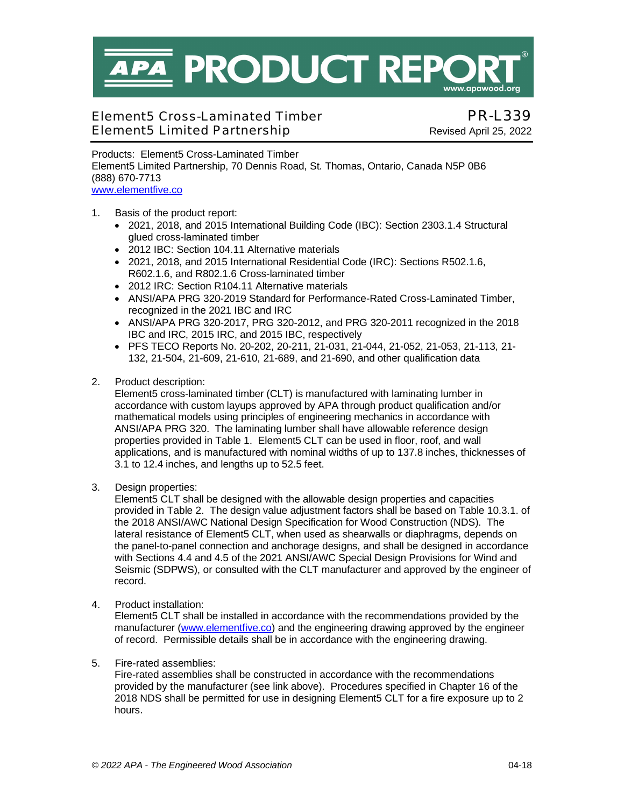**PA PRODUCT REP** www.apawood.ora

# Element5 Cross-Laminated Timber PR-L339 Element5 Limited Partnership Revised April 25, 2022

Products: Element5 Cross-Laminated Timber Element5 Limited Partnership, 70 Dennis Road, St. Thomas, Ontario, Canada N5P 0B6 (888) 670-7713 [www.elementfive.co](https://elementfive.co/)

- 1. Basis of the product report:
	- 2021, 2018, and 2015 International Building Code (IBC): Section 2303.1.4 Structural glued cross-laminated timber
	- 2012 IBC: Section 104.11 Alternative materials
	- 2021, 2018, and 2015 International Residential Code (IRC): Sections R502.1.6, R602.1.6, and R802.1.6 Cross-laminated timber
	- 2012 IRC: Section R104.11 Alternative materials
	- ANSI/APA PRG 320-2019 Standard for Performance-Rated Cross-Laminated Timber, recognized in the 2021 IBC and IRC
	- $\bullet$  ANSI/APA PRG 320-2017, PRG 320-2012, and PRG 320-2011 recognized in the 2018 IBC and IRC, 2015 IRC, and 2015 IBC, respectively
	- PFS TECO Reports No. 20-202, 20-211, 21-031, 21-044, 21-052, 21-053, 21-113, 21- 132, 21-504, 21-609, 21-610, 21-689, and 21-690, and other qualification data
- 2. Product description:

Element5 cross-laminated timber (CLT) is manufactured with laminating lumber in accordance with custom layups approved by APA through product qualification and/or mathematical models using principles of engineering mechanics in accordance with ANSI/APA PRG 320. The laminating lumber shall have allowable reference design properties provided in Table 1. Element5 CLT can be used in floor, roof, and wall applications, and is manufactured with nominal widths of up to 137.8 inches, thicknesses of 3.1 to 12.4 inches, and lengths up to 52.5 feet.

3. Design properties:

Element5 CLT shall be designed with the allowable design properties and capacities provided in Table 2. The design value adjustment factors shall be based on Table 10.3.1. of the 2018 ANSI/AWC National Design Specification for Wood Construction (NDS). The lateral resistance of Element5 CLT, when used as shearwalls or diaphragms, depends on the panel-to-panel connection and anchorage designs, and shall be designed in accordance with Sections 4.4 and 4.5 of the 2021 ANSI/AWC Special Design Provisions for Wind and Seismic (SDPWS), or consulted with the CLT manufacturer and approved by the engineer of record.

4. Product installation:

Element5 CLT shall be installed in accordance with the recommendations provided by the manufacturer ([www.elementfive.co](https://elementfive.co/)) and the engineering drawing approved by the engineer of record. Permissible details shall be in accordance with the engineering drawing.

## 5. Fire-rated assemblies:

Fire-rated assemblies shall be constructed in accordance with the recommendations provided by the manufacturer (see link above). Procedures specified in Chapter 16 of the 2018 NDS shall be permitted for use in designing Element5 CLT for a fire exposure up to 2 hours.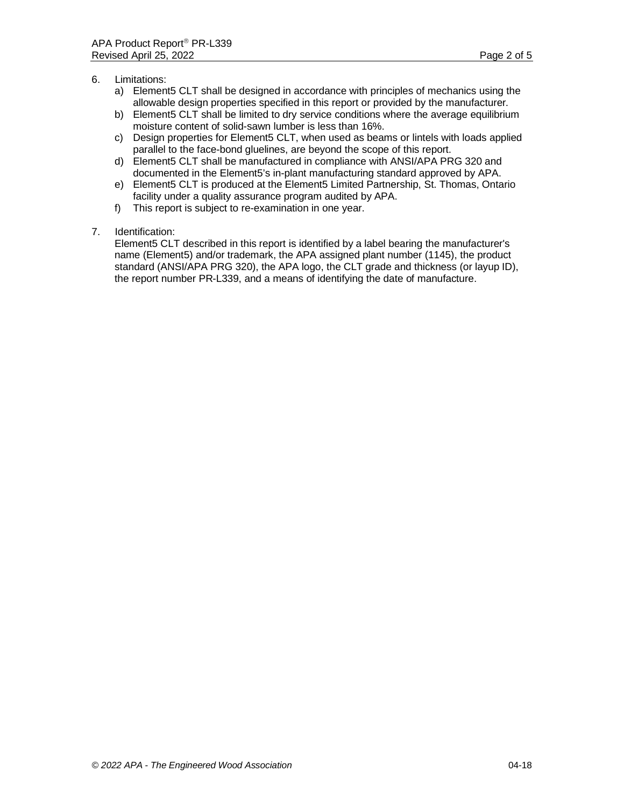- 6. Limitations:
	- a) Element5 CLT shall be designed in accordance with principles of mechanics using the allowable design properties specified in this report or provided by the manufacturer.
	- b) Element5 CLT shall be limited to dry service conditions where the average equilibrium moisture content of solid-sawn lumber is less than 16%.
	- c) Design properties for Element5 CLT, when used as beams or lintels with loads applied parallel to the face-bond gluelines, are beyond the scope of this report.
	- d) Element5 CLT shall be manufactured in compliance with ANSI/APA PRG 320 and documented in the Element5's in-plant manufacturing standard approved by APA.
	- e) Element5 CLT is produced at the Element5 Limited Partnership, St. Thomas, Ontario facility under a quality assurance program audited by APA.
	- f) This report is subject to re-examination in one year.
- 7. Identification:

Element5 CLT described in this report is identified by a label bearing the manufacturer's name (Element5) and/or trademark, the APA assigned plant number (1145), the product standard (ANSI/APA PRG 320), the APA logo, the CLT grade and thickness (or layup ID), the report number PR-L339, and a means of identifying the date of manufacture.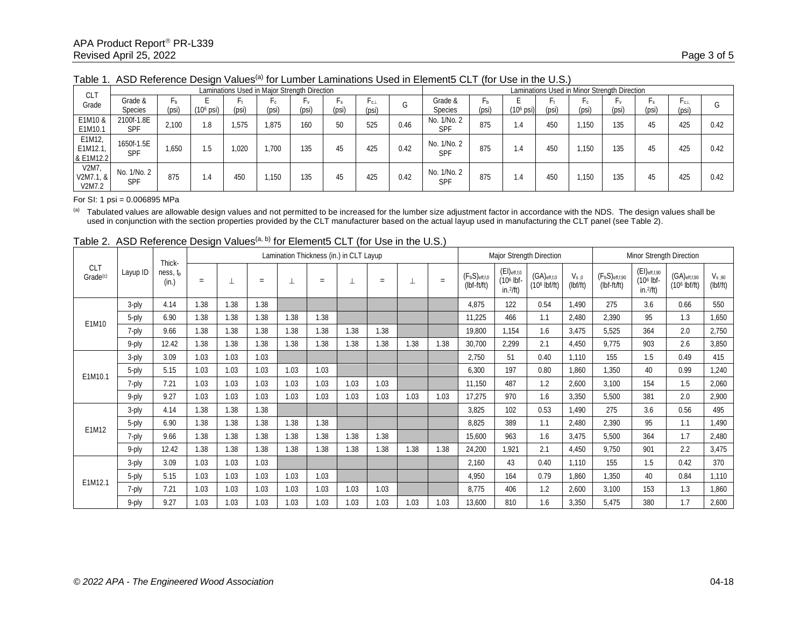| <b>CLT</b>                     | Laminations Used in Major Strength Direction |       |             |       |                     |             |             |              |      |                           | Laminations Used in Minor Strength Direction |                       |       |             |             |             |               |      |  |
|--------------------------------|----------------------------------------------|-------|-------------|-------|---------------------|-------------|-------------|--------------|------|---------------------------|----------------------------------------------|-----------------------|-------|-------------|-------------|-------------|---------------|------|--|
| Grade                          | Grade &<br>Species                           | (psi) | $(106$ psi) | (psi) | $\Gamma$ C<br>(psi) | Γv<br>(psi) | Гs<br>(psi) | Γc⊥<br>(psi) |      | Grade &<br><b>Species</b> | Ļр<br>(psi                                   | (10 <sup>6</sup> psi) | (psi) | Γc<br>(psi) | ٠v<br>(psi) | Гs<br>(psi) | r c⊥<br>(psi) |      |  |
| E1M10 &<br>E1M10.1             | 2100f-1.8E<br><b>SPF</b>                     | 2.100 | 1.8         | 1.575 | 1.875               | 160         | 50          | 525          | 0.46 | No. 1/No. 2<br><b>SPF</b> | 875                                          | 1.4                   | 450   | .150        | 135         | 45          | 425           | 0.42 |  |
| E1M12,<br>E1M12.1<br>& E1M12.2 | 1650f-1.5E<br><b>SPF</b>                     | 1,650 | ٦.5         | 1.020 | 1.700               | 135         | 45          | 425          | 0.42 | No. 1/No. 2<br>SPF        | 875                                          | 1.4                   | 450   | .150        | 135         | 45          | 425           | 0.42 |  |
| V2M7.<br>V2M7.1, &<br>V2M7.2   | No. 1/No. 2<br>SPF                           | 875   | 1.4         | 450   | 1,150               | 135         | 45          | 425          | 0.42 | No. 1/No. 2<br><b>SPF</b> | 875                                          | 1.4                   | 450   | .150        | 135         | 45          | 425           | 0.42 |  |

Table 1. ASD Reference Design Values<sup>(a)</sup> for Lumber Laminations Used in Element5 CLT (for Use in the U.S.)

#### For SI: 1 psi = 0.006895 MPa

<sup>(a)</sup> Tabulated values are allowable design values and not permitted to be increased for the lumber size adjustment factor in accordance with the NDS. The design values shall be used in conjunction with the section properties provided by the CLT manufacturer based on the actual layup used in manufacturing the CLT panel (see Table 2).

|                                         |          | Thick-                        |      | Lamination Thickness (in.) in CLT Layup |      |      |      |      |      |      |      |                                     | Major Strength Direction                                |                                            |                       |                                      | Minor Strength Direction                               |                                               |                        |  |
|-----------------------------------------|----------|-------------------------------|------|-----------------------------------------|------|------|------|------|------|------|------|-------------------------------------|---------------------------------------------------------|--------------------------------------------|-----------------------|--------------------------------------|--------------------------------------------------------|-----------------------------------------------|------------------------|--|
| CL <sub>1</sub><br>Grade <sup>(c)</sup> | Layup ID | ness, t <sub>p</sub><br>(in.) | $=$  |                                         | $=$  |      | $=$  |      | $=$  | ᆂ    | $=$  | $(F_bS)_{eff,f,0}$<br>$(lbf-ft/ft)$ | $(EI)_{eff, f, 0}$<br>(10 <sup>6</sup> lbf-<br>in.2/ft) | $(GA)_{eff,0}$<br>(10 <sup>6</sup> lbf/ft) | $V_{s.0}$<br>(lbf/ft) | $(F_bS)_{eff,f,90}$<br>$(lbf-ft/ft)$ | $(EI)_{eff,f,90}$<br>(10 <sup>6</sup> lbf-<br>in.2/ft) | $(GA)$ eff, f, 90<br>(10 <sup>6</sup> lbf/ft) | $V_{s,90}$<br>(lbf/ft) |  |
|                                         | 3-ply    | 4.14                          | 1.38 | 1.38                                    | 1.38 |      |      |      |      |      |      | 4,875                               | 122                                                     | 0.54                                       | 1,490                 | 275                                  | 3.6                                                    | 0.66                                          | 550                    |  |
| E1M10                                   | 5-ply    | 6.90                          | 1.38 | 1.38                                    | 1.38 | 1.38 | 1.38 |      |      |      |      | 11,225                              | 466                                                     | 1.1                                        | 2,480                 | 2.390                                | 95                                                     | 1.3                                           | 1,650                  |  |
|                                         | 7-ply    | 9.66                          | 1.38 | 1.38                                    | 1.38 | 1.38 | 1.38 | 1.38 | 1.38 |      |      | 19,800                              | 1,154                                                   | 1.6                                        | 3,475                 | 5,525                                | 364                                                    | 2.0                                           | 2,750                  |  |
|                                         | 9-ply    | 12.42                         | 1.38 | 1.38                                    | 1.38 | 1.38 | 1.38 | 1.38 | 1.38 | 1.38 | 1.38 | 30,700                              | 2,299                                                   | 2.1                                        | 4,450                 | 9.775                                | 903                                                    | 2.6                                           | 3,850                  |  |
| E1M10.1                                 | 3-ply    | 3.09                          | 1.03 | 1.03                                    | 1.03 |      |      |      |      |      |      | 2,750                               | 51                                                      | 0.40                                       | 1.110                 | 155                                  | 1.5                                                    | 0.49                                          | 415                    |  |
|                                         | 5-ply    | 5.15                          | 1.03 | 1.03                                    | 1.03 | 1.03 | 1.03 |      |      |      |      | 6,300                               | 197                                                     | 0.80                                       | 1,860                 | 1,350                                | 40                                                     | 0.99                                          | 1,240                  |  |
|                                         | 7-ply    | 7.21                          | 1.03 | 1.03                                    | 1.03 | 1.03 | 1.03 | 1.03 | 1.03 |      |      | 11,150                              | 487                                                     | 1.2                                        | 2,600                 | 3,100                                | 154                                                    | 1.5                                           | 2,060                  |  |
|                                         | 9-ply    | 9.27                          | 1.03 | 1.03                                    | 1.03 | 1.03 | 1.03 | 1.03 | 1.03 | 1.03 | 1.03 | 17,275                              | 970                                                     | 1.6                                        | 3,350                 | 5,500                                | 381                                                    | 2.0                                           | 2,900                  |  |
|                                         | 3-ply    | 4.14                          | 1.38 | 1.38                                    | 1.38 |      |      |      |      |      |      | 3,825                               | 102                                                     | 0.53                                       | 1.490                 | 275                                  | 3.6                                                    | 0.56                                          | 495                    |  |
| E1M12                                   | 5-ply    | 6.90                          | 1.38 | 1.38                                    | 1.38 | 1.38 | 1.38 |      |      |      |      | 8,825                               | 389                                                     | 1.1                                        | 2,480                 | 2,390                                | 95                                                     | 1.1                                           | 1,490                  |  |
|                                         | 7-ply    | 9.66                          | 1.38 | 1.38                                    | 1.38 | 1.38 | 1.38 | 1.38 | 1.38 |      |      | 15,600                              | 963                                                     | 1.6                                        | 3,475                 | 5,500                                | 364                                                    | 1.7                                           | 2,480                  |  |
|                                         | 9-ply    | 12.42                         | 1.38 | 1.38                                    | 1.38 | 1.38 | 1.38 | 1.38 | 1.38 | 1.38 | 1.38 | 24,200                              | 1,921                                                   | 2.1                                        | 4,450                 | 9,750                                | 901                                                    | 2.2                                           | 3,475                  |  |
|                                         | 3-ply    | 3.09                          | 1.03 | 1.03                                    | 1.03 |      |      |      |      |      |      | 2,160                               | 43                                                      | 0.40                                       | 1,110                 | 155                                  | 1.5                                                    | 0.42                                          | 370                    |  |
|                                         | 5-ply    | 5.15                          | 1.03 | 1.03                                    | 1.03 | 1.03 | 1.03 |      |      |      |      | 4,950                               | 164                                                     | 0.79                                       | 1.860                 | 1,350                                | 40                                                     | 0.84                                          | 1,110                  |  |
| E1M12.1                                 | 7-ply    | 7.21                          | 1.03 | 1.03                                    | 1.03 | 1.03 | 1.03 | 1.03 | 1.03 |      |      | 8,775                               | 406                                                     | 1.2                                        | 2,600                 | 3,100                                | 153                                                    | 1.3                                           | 1,860                  |  |
|                                         | 9-ply    | 9.27                          | 1.03 | 1.03                                    | 1.03 | 1.03 | 1.03 | 1.03 | 1.03 | 1.03 | 1.03 | 13,600                              | 810                                                     | 1.6                                        | 3,350                 | 5,475                                | 380                                                    | 1.7                                           | 2,600                  |  |

Table 2. ASD Reference Design Values<sup>(a, b)</sup> for Element5 CLT (for Use in the U.S.)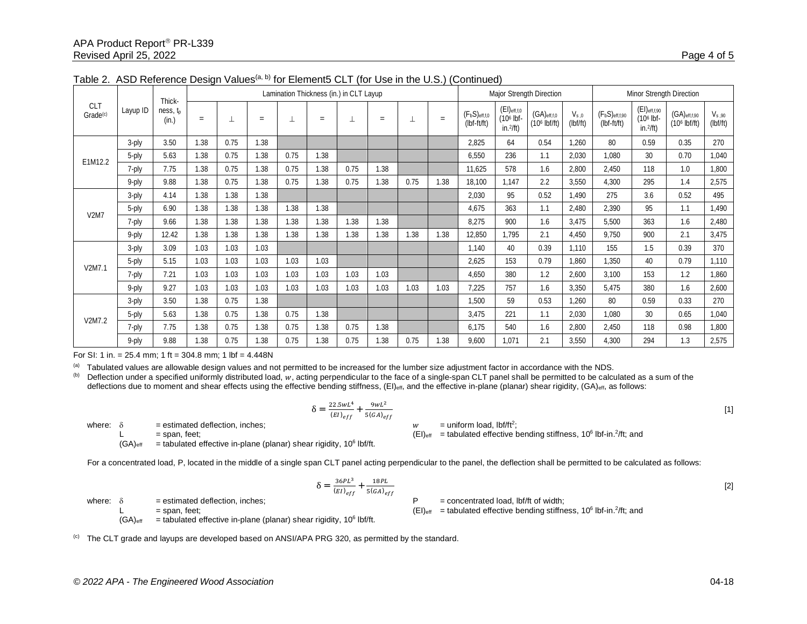|                                    |          | Thick-                        |      |      |      | Lamination Thickness (in.) in CLT Layup |      |      |      |      | <b>Major Strength Direction</b> |                                    |                                                       |                                                | Minor Strength Direction |                                      |                                                        |                                               |                        |
|------------------------------------|----------|-------------------------------|------|------|------|-----------------------------------------|------|------|------|------|---------------------------------|------------------------------------|-------------------------------------------------------|------------------------------------------------|--------------------------|--------------------------------------|--------------------------------------------------------|-----------------------------------------------|------------------------|
| <b>CLT</b><br>Grade <sup>(c)</sup> | Layup ID | ness, t <sub>p</sub><br>(in.) | $=$  |      | $=$  |                                         | $=$  |      | $=$  | ┷    | $=$                             | $(F_bS)_{eff,fo}$<br>$(lbf-ft/ft)$ | $(EI)_{eff,f,0}$<br>(10 <sup>6</sup> lbf-<br>in.2/ft) | $(GA)_{eff, f, 0}$<br>(10 <sup>6</sup> lbf/ft) | $V_{s.0}$<br>(lbf/ft)    | $(F_bS)_{eff,f,90}$<br>$(lbf-ft/ft)$ | $(EI)$ eff, f, 90<br>(10 <sup>6</sup> lbf-<br>in.2/ft) | $(GA)$ eff, f, 90<br>(10 <sup>6</sup> lbf/ft) | $V_{s,90}$<br>(lbf/ft) |
|                                    | 3-ply    | 3.50                          | 1.38 | 0.75 | 1.38 |                                         |      |      |      |      |                                 | 2,825                              | 64                                                    | 0.54                                           | 1,260                    | 80                                   | 0.59                                                   | 0.35                                          | 270                    |
| E1M12.2                            | 5-ply    | 5.63                          | 1.38 | 0.75 | 1.38 | 0.75                                    | 1.38 |      |      |      |                                 | 6,550                              | 236                                                   | 1.1                                            | 2,030                    | 1,080                                | 30                                                     | 0.70                                          | 1,040                  |
|                                    | 7-ply    | 7.75                          | 1.38 | 0.75 | 1.38 | 0.75                                    | 1.38 | 0.75 | 1.38 |      |                                 | 11,625                             | 578                                                   | 1.6                                            | 2,800                    | 2.450                                | 118                                                    | 1.0                                           | 1,800                  |
|                                    | 9-ply    | 9.88                          | 1.38 | 0.75 | 1.38 | 0.75                                    | 1.38 | 0.75 | .38  | 0.75 | 1.38                            | 18,100                             | 1,147                                                 | 2.2                                            | 3,550                    | 4,300                                | 295                                                    | 1.4                                           | 2,575                  |
| <b>V2M7</b>                        | 3-ply    | 4.14                          | 1.38 | 1.38 | 1.38 |                                         |      |      |      |      |                                 | 2,030                              | 95                                                    | 0.52                                           | 1,490                    | 275                                  | 3.6                                                    | 0.52                                          | 495                    |
|                                    | 5-ply    | 6.90                          | 1.38 | 1.38 | 1.38 | 1.38                                    | 1.38 |      |      |      |                                 | 4,675                              | 363                                                   | 1.1                                            | 2,480                    | 2,390                                | 95                                                     | 1.1                                           | 1,490                  |
|                                    | 7-ply    | 9.66                          | 1.38 | 1.38 | 1.38 | 1.38                                    | 1.38 | 1.38 | .38  |      |                                 | 8,275                              | 900                                                   | 1.6                                            | 3,475                    | 5,500                                | 363                                                    | 1.6                                           | 2,480                  |
|                                    | 9-ply    | 12.42                         | 1.38 | 1.38 | 1.38 | 1.38                                    | 1.38 | 1.38 | 1.38 | 1.38 | 1.38                            | 12,850                             | 1,795                                                 | 2.1                                            | 4,450                    | 9,750                                | 900                                                    | 2.1                                           | 3,475                  |
|                                    | 3-ply    | 3.09                          | 1.03 | 1.03 | 1.03 |                                         |      |      |      |      |                                 | 1,140                              | 40                                                    | 0.39                                           | 1.110                    | 155                                  | 1.5                                                    | 0.39                                          | 370                    |
| V2M7.1                             | 5-ply    | 5.15                          | 1.03 | 1.03 | 1.03 | 1.03                                    | 1.03 |      |      |      |                                 | 2,625                              | 153                                                   | 0.79                                           | 1,860                    | 1,350                                | 40                                                     | 0.79                                          | 1,110                  |
|                                    | 7-ply    | 7.21                          | 1.03 | 1.03 | 1.03 | 1.03                                    | 1.03 | 1.03 | 1.03 |      |                                 | 4,650                              | 380                                                   | 1.2                                            | 2,600                    | 3,100                                | 153                                                    | 1.2                                           | 1,860                  |
|                                    | 9-ply    | 9.27                          | 1.03 | 1.03 | 1.03 | 1.03                                    | 1.03 | 1.03 | 1.03 | 1.03 | 1.03                            | 7,225                              | 757                                                   | 1.6                                            | 3,350                    | 5,475                                | 380                                                    | 1.6                                           | 2,600                  |
|                                    | 3-ply    | 3.50                          | 1.38 | 0.75 | 1.38 |                                         |      |      |      |      |                                 | 1,500                              | 59                                                    | 0.53                                           | 1,260                    | 80                                   | 0.59                                                   | 0.33                                          | 270                    |
|                                    | 5-ply    | 5.63                          | 1.38 | 0.75 | 1.38 | 0.75                                    | 1.38 |      |      |      |                                 | 3,475                              | 221                                                   | 1.1                                            | 2,030                    | 1,080                                | 30                                                     | 0.65                                          | 1,040                  |
| V2M7.2                             | 7-ply    | 7.75                          | 1.38 | 0.75 | 1.38 | 0.75                                    | 1.38 | 0.75 | 1.38 |      |                                 | 6,175                              | 540                                                   | 1.6                                            | 2,800                    | 2,450                                | 118                                                    | 0.98                                          | 1,800                  |
|                                    | 9-ply    | 9.88                          | 1.38 | 0.75 | 1.38 | 0.75                                    | 1.38 | 0.75 | 1.38 | 0.75 | 1.38                            | 9,600                              | 1,071                                                 | 2.1                                            | 3,550                    | 4,300                                | 294                                                    | 1.3                                           | 2,575                  |

|  |  | Table 2. ASD Reference Design Values <sup>(a, b)</sup> for Element5 CLT (for Use in the U.S.) (Continued) |
|--|--|-----------------------------------------------------------------------------------------------------------|
|--|--|-----------------------------------------------------------------------------------------------------------|

For SI: 1 in. =  $25.4$  mm; 1 ft =  $304.8$  mm; 1 lbf =  $4.448N$ 

(a) Tabulated values are allowable design values and not permitted to be increased for the lumber size adjustment factor in accordance with the NDS.

(b) Deflection under a specified uniformly distributed load,  $w$ , acting perpendicular to the face of a single-span CLT panel shall be permitted to be calculated as a sum of the deflections due to moment and shear effects using the effective bending stiffness,  $(E)$ <sub>eff</sub>, and the effective in-plane (planar) shear rigidity,  $(GA)$ <sub>eff</sub>, as follows:

$$
\delta = \frac{22.5wL^4}{(EI)_{eff}} + \frac{9wL^2}{5(GA)_{eff}}
$$
  
 
$$
W = \text{uniform load, lbf/ft}^2;
$$

where:  $\delta$  = estimated deflection, inches;<br>  $\mathsf{L}$  = span, feet:

L  $=$  span, feet;  $=$  span, feet;  $\sum_{i=1}^{\infty}$  and  $\sum_{i=1}^{\infty}$  and  $\sum_{i=1}^{\infty}$  and  $\sum_{i=1}^{\infty}$  and  $\sum_{i=1}^{\infty}$  and  $\sum_{i=1}^{\infty}$  and  $\sum_{i=1}^{\infty}$  and  $\sum_{i=1}^{\infty}$  and  $\sum_{i=1}^{\infty}$  and  $\sum_{i=1}^{\infty}$  a

 $(GA)_{\text{eff}}$  = tabulated effective in-plane (planar) shear rigidity, 10<sup>6</sup> lbf/ft.

For a concentrated load, P, located in the middle of a single span CLT panel acting perpendicular to the panel, the deflection shall be permitted to be calculated as follows:

$$
\delta = \frac{36PL^3}{(EI)_{eff}} + \frac{18PL}{5(GA)_{eff}}
$$
 [2]

where:  $\delta$  = estimated deflection, inches;  $\delta$  = concentrated load, lbf/ft of width;

 $(GA)_{\text{eff}}$  = tabulated effective in-plane (planar) shear rigidity, 10<sup>6</sup> lbf/ft.

L  $=$  span, feet;  $=$  span, feet;  $\sum_{i=1}^{\infty}$  and  $\sum_{i=1}^{\infty}$  and  $\sum_{i=1}^{\infty}$  and  $\sum_{i=1}^{\infty}$  and  $\sum_{i=1}^{\infty}$  and  $\sum_{i=1}^{\infty}$  and  $\sum_{i=1}^{\infty}$  and  $\sum_{i=1}^{\infty}$  and  $\sum_{i=1}^{\infty}$  and  $\sum_{i=1}^{\infty}$  a

 $^{(c)}$  The CLT grade and layups are developed based on ANSI/APA PRG 320, as permitted by the standard.